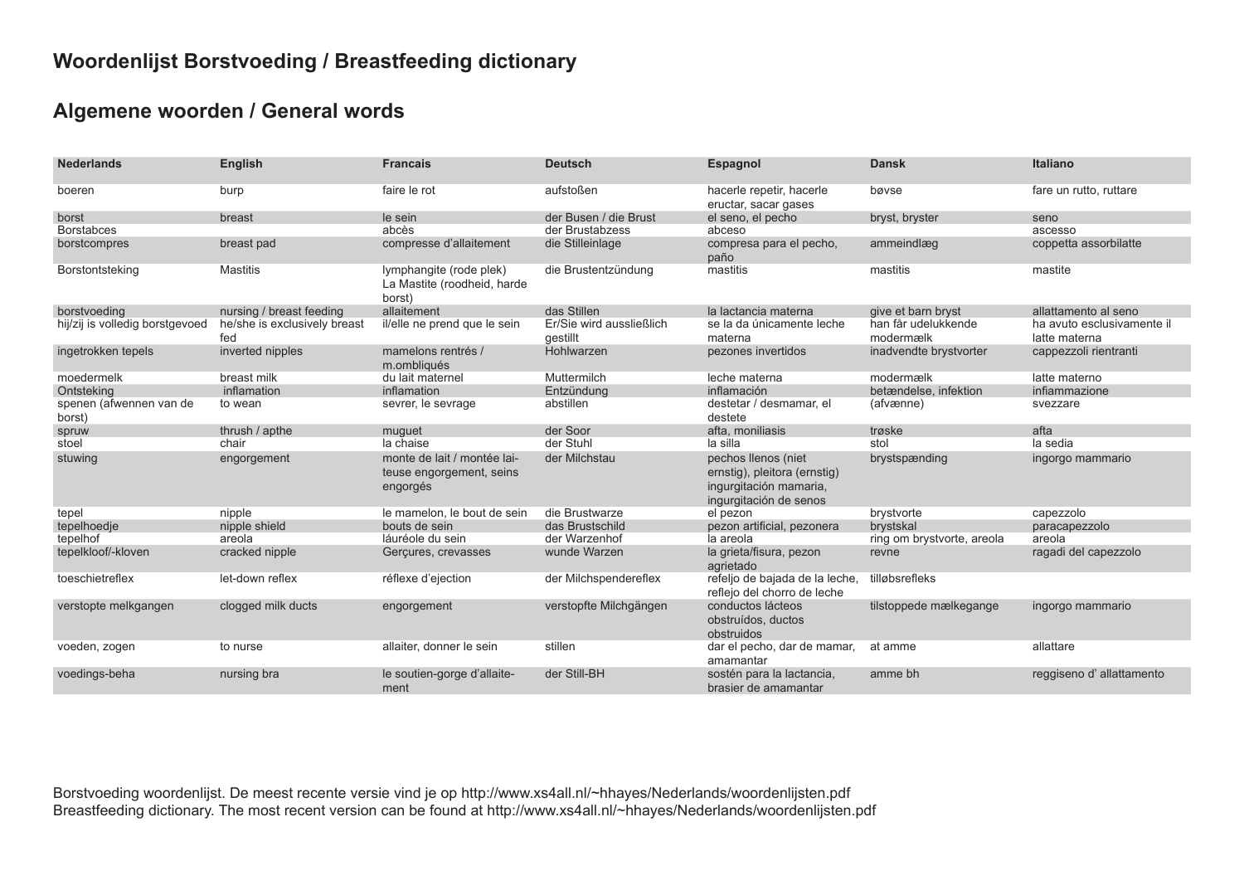# **Woordenlijst Borstvoeding / Breastfeeding dictionary**

## **Algemene woorden / General words**

| <b>Nederlands</b>                 | <b>English</b>                      | <b>Francais</b>                                                     | <b>Deutsch</b>                       | <b>Espagnol</b>                                                                                         | <b>Dansk</b>                     | <b>Italiano</b>                             |
|-----------------------------------|-------------------------------------|---------------------------------------------------------------------|--------------------------------------|---------------------------------------------------------------------------------------------------------|----------------------------------|---------------------------------------------|
| boeren                            | burp                                | faire le rot                                                        | aufstoßen                            | hacerle repetir, hacerle<br>eructar, sacar gases                                                        | bøvse                            | fare un rutto, ruttare                      |
| borst                             | breast                              | le sein                                                             | der Busen / die Brust                | el seno, el pecho                                                                                       | bryst, bryster                   | seno                                        |
| <b>Borstabces</b>                 |                                     | abcès                                                               | der Brustabzess                      | abceso                                                                                                  |                                  | ascesso                                     |
| borstcompres                      | breast pad                          | compresse d'allaitement                                             | die Stilleinlage                     | compresa para el pecho.<br>paño                                                                         | ammeindlæg                       | coppetta assorbilatte                       |
| Borstontsteking                   | <b>Mastitis</b>                     | lymphangite (rode plek)<br>La Mastite (roodheid, harde<br>borst)    | die Brustentzündung                  | mastitis                                                                                                | mastitis                         | mastite                                     |
| borstvoeding                      | nursing / breast feeding            | allaitement                                                         | das Stillen                          | la lactancia materna                                                                                    | give et barn bryst               | allattamento al seno                        |
| hij/zij is volledig borstgevoed   | he/she is exclusively breast<br>fed | il/elle ne prend que le sein                                        | Er/Sie wird aussließlich<br>qestillt | se la da únicamente leche<br>materna                                                                    | han får udelukkende<br>modermælk | ha avuto esclusivamente il<br>latte materna |
| ingetrokken tepels                | inverted nipples                    | mamelons rentrés /<br>m.ombliqués                                   | Hohlwarzen                           | pezones invertidos                                                                                      | inadvendte brystvorter           | cappezzoli rientranti                       |
| moedermelk                        | breast milk                         | du lait maternel                                                    | Muttermilch                          | leche materna                                                                                           | modermælk                        | latte materno                               |
| Ontsteking                        | inflamation                         | inflamation                                                         | Entzündung                           | inflamación                                                                                             | betændelse, infektion            | infiammazione                               |
| spenen (afwennen van de<br>borst) | to wean                             | sevrer, le sevrage                                                  | abstillen                            | destetar / desmamar, el<br>destete                                                                      | (afvænne)                        | svezzare                                    |
| spruw                             | thrush / apthe                      | muguet                                                              | der Soor                             | afta. moniliasis                                                                                        | trøske                           | afta                                        |
| stoel                             | chair                               | la chaise                                                           | der Stuhl                            | la silla                                                                                                | stol                             | la sedia                                    |
| stuwing                           | engorgement                         | monte de lait / montée lai-<br>teuse engorgement, seins<br>engorgés | der Milchstau                        | pechos llenos (niet<br>ernstig), pleitora (ernstig)<br>ingurgitación mamaria,<br>ingurgitación de senos | brystspænding                    | ingorgo mammario                            |
| tepel                             | nipple                              | le mamelon, le bout de sein                                         | die Brustwarze                       | el pezon                                                                                                | brystvorte                       | capezzolo                                   |
| tepelhoedje                       | nipple shield                       | bouts de sein                                                       | das Brustschild                      | pezon artificial, pezonera                                                                              | brystskal                        | paracapezzolo                               |
| tepelhof                          | areola                              | láuréole du sein                                                    | der Warzenhof                        | la areola                                                                                               | ring om brystvorte, areola       | areola                                      |
| tepelkloof/-kloven                | cracked nipple                      | Gerçures, crevasses                                                 | wunde Warzen                         | la grieta/fisura, pezon<br>agrietado                                                                    | revne                            | ragadi del capezzolo                        |
| toeschietreflex                   | let-down reflex                     | réflexe d'ejection                                                  | der Milchspendereflex                | refeljo de bajada de la leche,<br>reflejo del chorro de leche                                           | tilløbsrefleks                   |                                             |
| verstopte melkgangen              | clogged milk ducts                  | engorgement                                                         | verstopfte Milchgängen               | conductos lácteos<br>obstruídos, ductos<br>obstruidos                                                   | tilstoppede mælkegange           | ingorgo mammario                            |
| voeden, zogen                     | to nurse                            | allaiter, donner le sein                                            | stillen                              | dar el pecho, dar de mamar,<br>amamantar                                                                | at amme                          | allattare                                   |
| voedings-beha                     | nursing bra                         | le soutien-gorge d'allaite-<br>ment                                 | der Still-BH                         | sostén para la lactancia,<br>brasier de amamantar                                                       | amme bh                          | reggiseno d'allattamento                    |

Borstvoeding woordenlijst. De meest recente versie vind je op http://www.xs4all.nl/~hhayes/Nederlands/woordenlijsten.pdf Breastfeeding dictionary. The most recent version can be found at http://www.xs4all.nl/~hhayes/Nederlands/woordenlijsten.pdf